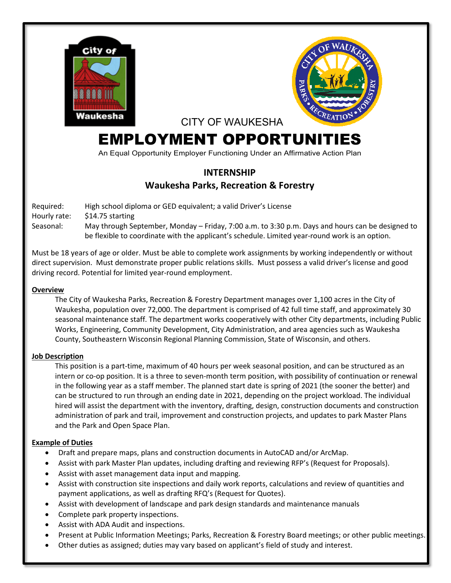



CITY OF WAUKESHA

# EMPLOYMENT OPPORTUNITIES

An Equal Opportunity Employer Functioning Under an Affirmative Action Plan

# **INTERNSHIP Waukesha Parks, Recreation & Forestry**

Required: High school diploma or GED equivalent; a valid Driver's License

Hourly rate: \$14.75 starting

Seasonal: May through September, Monday – Friday, 7:00 a.m. to 3:30 p.m. Days and hours can be designed to be flexible to coordinate with the applicant's schedule. Limited year-round work is an option.

Must be 18 years of age or older. Must be able to complete work assignments by working independently or without direct supervision. Must demonstrate proper public relations skills. Must possess a valid driver's license and good driving record. Potential for limited year-round employment.

#### **Overview**

The City of Waukesha Parks, Recreation & Forestry Department manages over 1,100 acres in the City of Waukesha, population over 72,000. The department is comprised of 42 full time staff, and approximately 30 seasonal maintenance staff. The department works cooperatively with other City departments, including Public Works, Engineering, Community Development, City Administration, and area agencies such as Waukesha County, Southeastern Wisconsin Regional Planning Commission, State of Wisconsin, and others.

## **Job Description**

This position is a part-time, maximum of 40 hours per week seasonal position, and can be structured as an intern or co-op position. It is a three to seven-month term position, with possibility of continuation or renewal in the following year as a staff member. The planned start date is spring of 2021 (the sooner the better) and can be structured to run through an ending date in 2021, depending on the project workload. The individual hired will assist the department with the inventory, drafting, design, construction documents and construction administration of park and trail, improvement and construction projects, and updates to park Master Plans and the Park and Open Space Plan.

## **Example of Duties**

- Draft and prepare maps, plans and construction documents in AutoCAD and/or ArcMap.
- Assist with park Master Plan updates, including drafting and reviewing RFP's (Request for Proposals).
- Assist with asset management data input and mapping.
- Assist with construction site inspections and daily work reports, calculations and review of quantities and payment applications, as well as drafting RFQ's (Request for Quotes).
- Assist with development of landscape and park design standards and maintenance manuals
- Complete park property inspections.
- Assist with ADA Audit and inspections.
- Present at Public Information Meetings; Parks, Recreation & Forestry Board meetings; or other public meetings.
- Other duties as assigned; duties may vary based on applicant's field of study and interest.